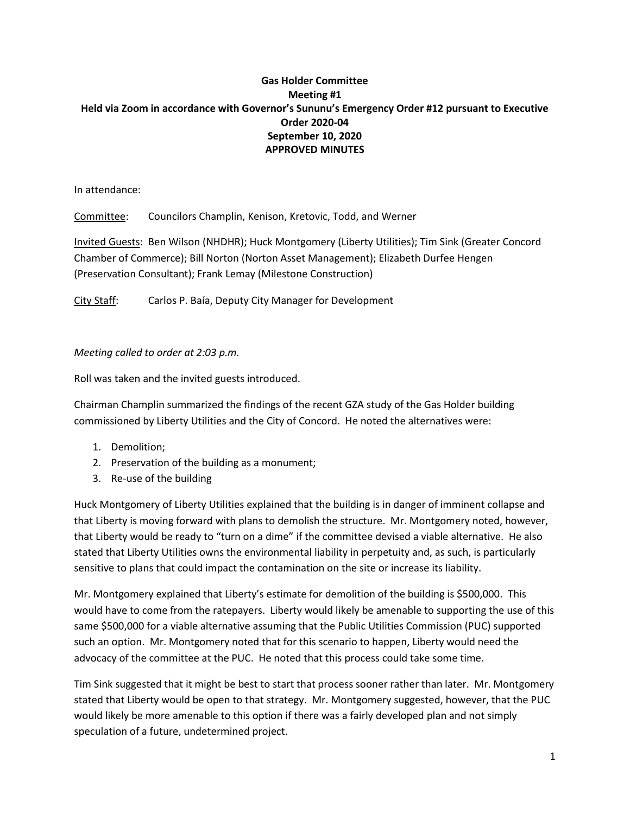## **Gas Holder Committee Meeting #1 Held via Zoom in accordance with Governor's Sununu's Emergency Order #12 pursuant to Executive Order 2020-04 September 10, 2020 APPROVED MINUTES**

In attendance:

Committee: Councilors Champlin, Kenison, Kretovic, Todd, and Werner

Invited Guests: Ben Wilson (NHDHR); Huck Montgomery (Liberty Utilities); Tim Sink (Greater Concord Chamber of Commerce); Bill Norton (Norton Asset Management); Elizabeth Durfee Hengen (Preservation Consultant); Frank Lemay (Milestone Construction)

City Staff: Carlos P. Baía, Deputy City Manager for Development

*Meeting called to order at 2:03 p.m.*

Roll was taken and the invited guests introduced.

Chairman Champlin summarized the findings of the recent GZA study of the Gas Holder building commissioned by Liberty Utilities and the City of Concord. He noted the alternatives were:

- 1. Demolition;
- 2. Preservation of the building as a monument;
- 3. Re-use of the building

Huck Montgomery of Liberty Utilities explained that the building is in danger of imminent collapse and that Liberty is moving forward with plans to demolish the structure. Mr. Montgomery noted, however, that Liberty would be ready to "turn on a dime" if the committee devised a viable alternative. He also stated that Liberty Utilities owns the environmental liability in perpetuity and, as such, is particularly sensitive to plans that could impact the contamination on the site or increase its liability.

Mr. Montgomery explained that Liberty's estimate for demolition of the building is \$500,000. This would have to come from the ratepayers. Liberty would likely be amenable to supporting the use of this same \$500,000 for a viable alternative assuming that the Public Utilities Commission (PUC) supported such an option. Mr. Montgomery noted that for this scenario to happen, Liberty would need the advocacy of the committee at the PUC. He noted that this process could take some time.

Tim Sink suggested that it might be best to start that process sooner rather than later. Mr. Montgomery stated that Liberty would be open to that strategy. Mr. Montgomery suggested, however, that the PUC would likely be more amenable to this option if there was a fairly developed plan and not simply speculation of a future, undetermined project.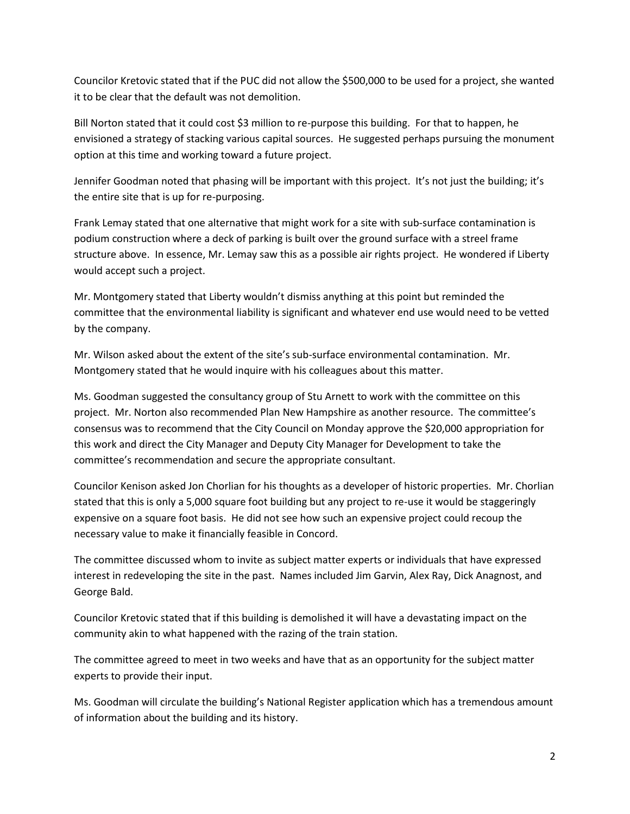Councilor Kretovic stated that if the PUC did not allow the \$500,000 to be used for a project, she wanted it to be clear that the default was not demolition.

Bill Norton stated that it could cost \$3 million to re-purpose this building. For that to happen, he envisioned a strategy of stacking various capital sources. He suggested perhaps pursuing the monument option at this time and working toward a future project.

Jennifer Goodman noted that phasing will be important with this project. It's not just the building; it's the entire site that is up for re-purposing.

Frank Lemay stated that one alternative that might work for a site with sub-surface contamination is podium construction where a deck of parking is built over the ground surface with a streel frame structure above. In essence, Mr. Lemay saw this as a possible air rights project. He wondered if Liberty would accept such a project.

Mr. Montgomery stated that Liberty wouldn't dismiss anything at this point but reminded the committee that the environmental liability is significant and whatever end use would need to be vetted by the company.

Mr. Wilson asked about the extent of the site's sub-surface environmental contamination. Mr. Montgomery stated that he would inquire with his colleagues about this matter.

Ms. Goodman suggested the consultancy group of Stu Arnett to work with the committee on this project. Mr. Norton also recommended Plan New Hampshire as another resource. The committee's consensus was to recommend that the City Council on Monday approve the \$20,000 appropriation for this work and direct the City Manager and Deputy City Manager for Development to take the committee's recommendation and secure the appropriate consultant.

Councilor Kenison asked Jon Chorlian for his thoughts as a developer of historic properties. Mr. Chorlian stated that this is only a 5,000 square foot building but any project to re-use it would be staggeringly expensive on a square foot basis. He did not see how such an expensive project could recoup the necessary value to make it financially feasible in Concord.

The committee discussed whom to invite as subject matter experts or individuals that have expressed interest in redeveloping the site in the past. Names included Jim Garvin, Alex Ray, Dick Anagnost, and George Bald.

Councilor Kretovic stated that if this building is demolished it will have a devastating impact on the community akin to what happened with the razing of the train station.

The committee agreed to meet in two weeks and have that as an opportunity for the subject matter experts to provide their input.

Ms. Goodman will circulate the building's National Register application which has a tremendous amount of information about the building and its history.